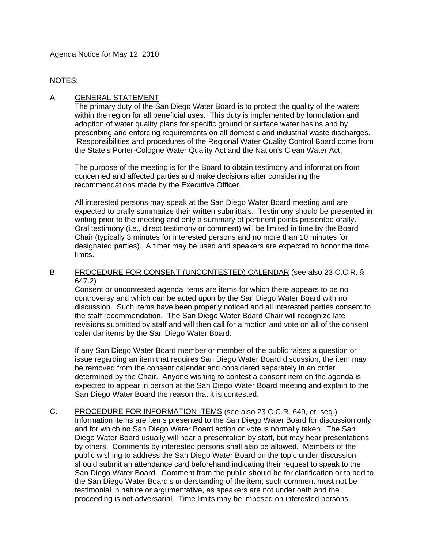Agenda Notice for May 12, 2010

NOTES:

# A. GENERAL STATEMENT

The primary duty of the San Diego Water Board is to protect the quality of the waters within the region for all beneficial uses. This duty is implemented by formulation and adoption of water quality plans for specific ground or surface water basins and by prescribing and enforcing requirements on all domestic and industrial waste discharges. Responsibilities and procedures of the Regional Water Quality Control Board come from the State's Porter-Cologne Water Quality Act and the Nation's Clean Water Act.

The purpose of the meeting is for the Board to obtain testimony and information from concerned and affected parties and make decisions after considering the recommendations made by the Executive Officer.

All interested persons may speak at the San Diego Water Board meeting and are expected to orally summarize their written submittals. Testimony should be presented in writing prior to the meeting and only a summary of pertinent points presented orally. Oral testimony (i.e., direct testimony or comment) will be limited in time by the Board Chair (typically 3 minutes for interested persons and no more than 10 minutes for designated parties). A timer may be used and speakers are expected to honor the time limits.

### B. PROCEDURE FOR CONSENT (UNCONTESTED) CALENDAR (see also 23 C.C.R. § 647.2)

Consent or uncontested agenda items are items for which there appears to be no controversy and which can be acted upon by the San Diego Water Board with no discussion. Such items have been properly noticed and all interested parties consent to the staff recommendation. The San Diego Water Board Chair will recognize late revisions submitted by staff and will then call for a motion and vote on all of the consent calendar items by the San Diego Water Board.

If any San Diego Water Board member or member of the public raises a question or issue regarding an item that requires San Diego Water Board discussion, the item may be removed from the consent calendar and considered separately in an order determined by the Chair. Anyone wishing to contest a consent item on the agenda is expected to appear in person at the San Diego Water Board meeting and explain to the San Diego Water Board the reason that it is contested.

C. PROCEDURE FOR INFORMATION ITEMS (see also 23 C.C.R. 649, et. seq.) Information items are items presented to the San Diego Water Board for discussion only and for which no San Diego Water Board action or vote is normally taken. The San Diego Water Board usually will hear a presentation by staff, but may hear presentations by others. Comments by interested persons shall also be allowed. Members of the public wishing to address the San Diego Water Board on the topic under discussion should submit an attendance card beforehand indicating their request to speak to the San Diego Water Board. Comment from the public should be for clarification or to add to the San Diego Water Board's understanding of the item; such comment must not be testimonial in nature or argumentative, as speakers are not under oath and the proceeding is not adversarial. Time limits may be imposed on interested persons.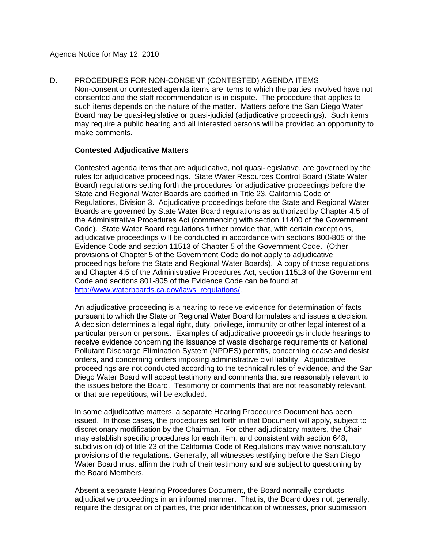D. PROCEDURES FOR NON-CONSENT (CONTESTED) AGENDA ITEMS

Non-consent or contested agenda items are items to which the parties involved have not consented and the staff recommendation is in dispute. The procedure that applies to such items depends on the nature of the matter. Matters before the San Diego Water Board may be quasi-legislative or quasi-judicial (adjudicative proceedings). Such items may require a public hearing and all interested persons will be provided an opportunity to make comments.

### **Contested Adjudicative Matters**

Contested agenda items that are adjudicative, not quasi-legislative, are governed by the rules for adjudicative proceedings. State Water Resources Control Board (State Water Board) regulations setting forth the procedures for adjudicative proceedings before the State and Regional Water Boards are codified in Title 23, California Code of Regulations, Division 3. Adjudicative proceedings before the State and Regional Water Boards are governed by State Water Board regulations as authorized by Chapter 4.5 of the Administrative Procedures Act (commencing with section 11400 of the Government Code). State Water Board regulations further provide that, with certain exceptions, adjudicative proceedings will be conducted in accordance with sections 800-805 of the Evidence Code and section 11513 of Chapter 5 of the Government Code. (Other provisions of Chapter 5 of the Government Code do not apply to adjudicative proceedings before the State and Regional Water Boards). A copy of those regulations and Chapter 4.5 of the Administrative Procedures Act, section 11513 of the Government Code and sections 801-805 of the Evidence Code can be found at [http://www.waterboards.ca.gov/laws\\_regulations/](http://www.waterboards.ca.gov/laws_regulations/).

An adjudicative proceeding is a hearing to receive evidence for determination of facts pursuant to which the State or Regional Water Board formulates and issues a decision. A decision determines a legal right, duty, privilege, immunity or other legal interest of a particular person or persons. Examples of adjudicative proceedings include hearings to receive evidence concerning the issuance of waste discharge requirements or National Pollutant Discharge Elimination System (NPDES) permits, concerning cease and desist orders, and concerning orders imposing administrative civil liability. Adjudicative proceedings are not conducted according to the technical rules of evidence, and the San Diego Water Board will accept testimony and comments that are reasonably relevant to the issues before the Board. Testimony or comments that are not reasonably relevant, or that are repetitious, will be excluded.

In some adjudicative matters, a separate Hearing Procedures Document has been issued. In those cases, the procedures set forth in that Document will apply, subject to discretionary modification by the Chairman. For other adjudicatory matters, the Chair may establish specific procedures for each item, and consistent with section 648, subdivision (d) of title 23 of the California Code of Regulations may waive nonstatutory provisions of the regulations. Generally, all witnesses testifying before the San Diego Water Board must affirm the truth of their testimony and are subject to questioning by the Board Members.

Absent a separate Hearing Procedures Document, the Board normally conducts adjudicative proceedings in an informal manner. That is, the Board does not, generally, require the designation of parties, the prior identification of witnesses, prior submission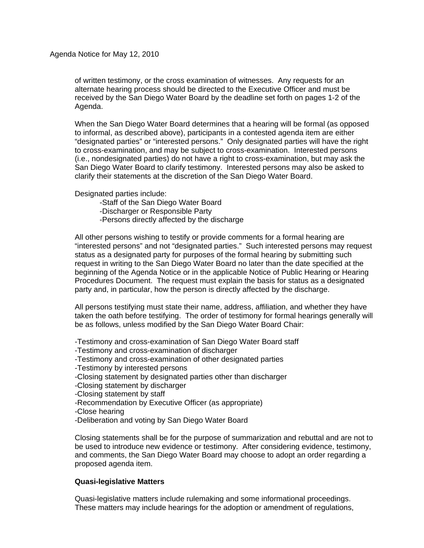Agenda Notice for May 12, 2010

of written testimony, or the cross examination of witnesses. Any requests for an alternate hearing process should be directed to the Executive Officer and must be received by the San Diego Water Board by the deadline set forth on pages 1-2 of the Agenda.

When the San Diego Water Board determines that a hearing will be formal (as opposed to informal, as described above), participants in a contested agenda item are either "designated parties" or "interested persons." Only designated parties will have the right to cross-examination, and may be subject to cross-examination. Interested persons (i.e., nondesignated parties) do not have a right to cross-examination, but may ask the San Diego Water Board to clarify testimony. Interested persons may also be asked to clarify their statements at the discretion of the San Diego Water Board.

Designated parties include:

- -Staff of the San Diego Water Board
- -Discharger or Responsible Party
- -Persons directly affected by the discharge

All other persons wishing to testify or provide comments for a formal hearing are "interested persons" and not "designated parties." Such interested persons may request status as a designated party for purposes of the formal hearing by submitting such request in writing to the San Diego Water Board no later than the date specified at the beginning of the Agenda Notice or in the applicable Notice of Public Hearing or Hearing Procedures Document. The request must explain the basis for status as a designated party and, in particular, how the person is directly affected by the discharge.

All persons testifying must state their name, address, affiliation, and whether they have taken the oath before testifying. The order of testimony for formal hearings generally will be as follows, unless modified by the San Diego Water Board Chair:

-Testimony and cross-examination of San Diego Water Board staff

-Testimony and cross-examination of discharger

-Testimony and cross-examination of other designated parties

- -Testimony by interested persons
- -Closing statement by designated parties other than discharger
- -Closing statement by discharger
- -Closing statement by staff
- -Recommendation by Executive Officer (as appropriate)
- -Close hearing
- -Deliberation and voting by San Diego Water Board

Closing statements shall be for the purpose of summarization and rebuttal and are not to be used to introduce new evidence or testimony. After considering evidence, testimony, and comments, the San Diego Water Board may choose to adopt an order regarding a proposed agenda item.

#### **Quasi-legislative Matters**

Quasi-legislative matters include rulemaking and some informational proceedings. These matters may include hearings for the adoption or amendment of regulations,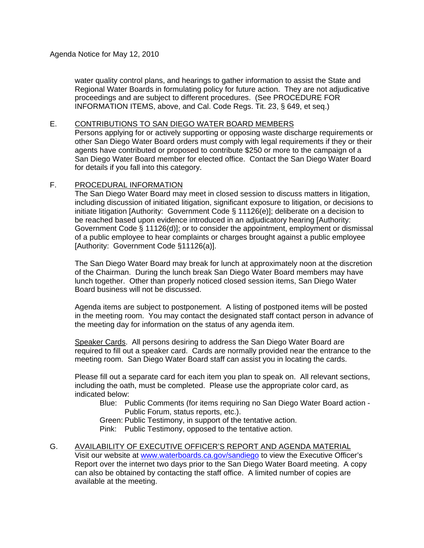water quality control plans, and hearings to gather information to assist the State and Regional Water Boards in formulating policy for future action. They are not adjudicative proceedings and are subject to different procedures. (See PROCEDURE FOR INFORMATION ITEMS, above, and Cal. Code Regs. Tit. 23, § 649, et seq.)

### E. CONTRIBUTIONS TO SAN DIEGO WATER BOARD MEMBERS

Persons applying for or actively supporting or opposing waste discharge requirements or other San Diego Water Board orders must comply with legal requirements if they or their agents have contributed or proposed to contribute \$250 or more to the campaign of a San Diego Water Board member for elected office. Contact the San Diego Water Board for details if you fall into this category.

# F. PROCEDURAL INFORMATION

The San Diego Water Board may meet in closed session to discuss matters in litigation, including discussion of initiated litigation, significant exposure to litigation, or decisions to initiate litigation [Authority: Government Code § 11126(e)]; deliberate on a decision to be reached based upon evidence introduced in an adjudicatory hearing [Authority: Government Code § 11126(d)]; or to consider the appointment, employment or dismissal of a public employee to hear complaints or charges brought against a public employee [Authority: Government Code §11126(a)].

The San Diego Water Board may break for lunch at approximately noon at the discretion of the Chairman. During the lunch break San Diego Water Board members may have lunch together. Other than properly noticed closed session items, San Diego Water Board business will not be discussed.

Agenda items are subject to postponement. A listing of postponed items will be posted in the meeting room. You may contact the designated staff contact person in advance of the meeting day for information on the status of any agenda item.

Speaker Cards. All persons desiring to address the San Diego Water Board are required to fill out a speaker card. Cards are normally provided near the entrance to the meeting room. San Diego Water Board staff can assist you in locating the cards.

Please fill out a separate card for each item you plan to speak on. All relevant sections, including the oath, must be completed. Please use the appropriate color card, as indicated below:

 Blue: Public Comments (for items requiring no San Diego Water Board action - Public Forum, status reports, etc.).

Green: Public Testimony, in support of the tentative action.

Pink: Public Testimony, opposed to the tentative action.

G. AVAILABILITY OF EXECUTIVE OFFICER'S REPORT AND AGENDA MATERIAL Visit our website at [www.waterboards.ca.gov/sandiego](http://www.waterboards.ca.gov/sandiego) to view the Executive Officer's Report over the internet two days prior to the San Diego Water Board meeting. A copy can also be obtained by contacting the staff office. A limited number of copies are available at the meeting.